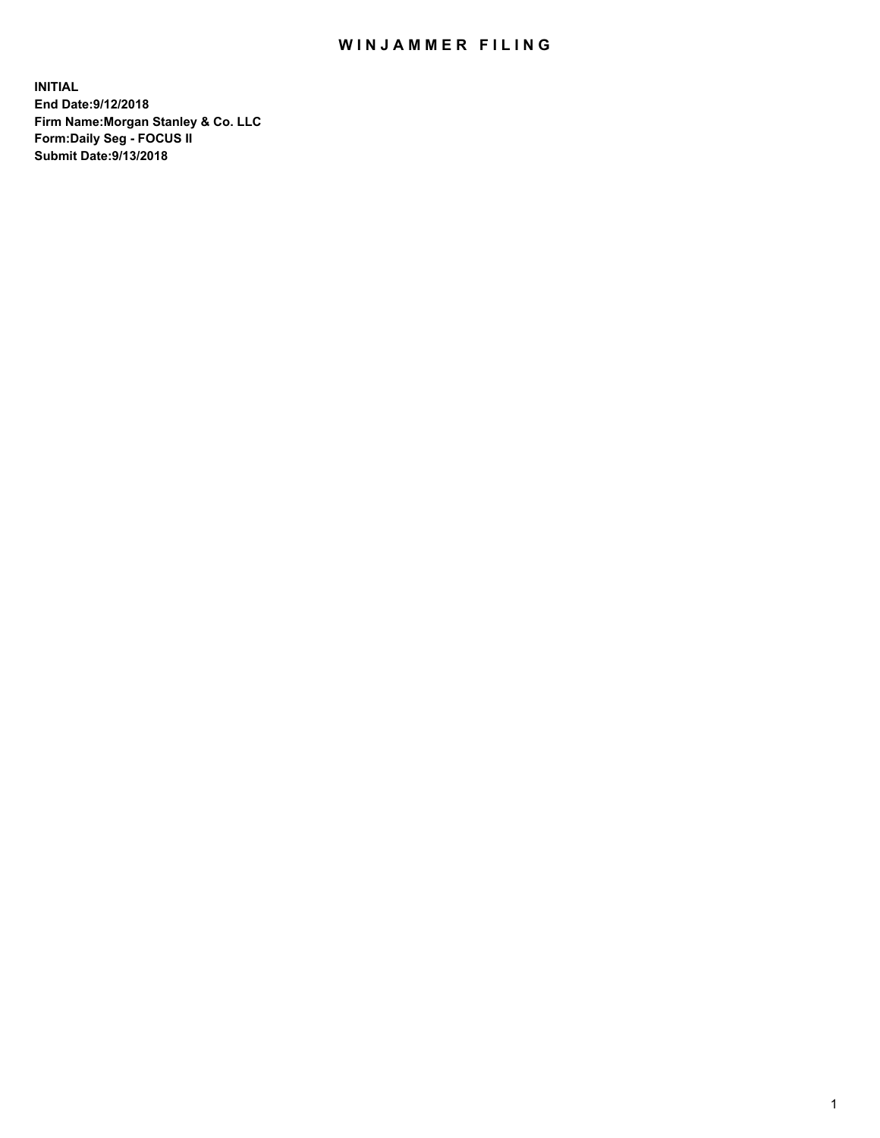## WIN JAMMER FILING

**INITIAL End Date:9/12/2018 Firm Name:Morgan Stanley & Co. LLC Form:Daily Seg - FOCUS II Submit Date:9/13/2018**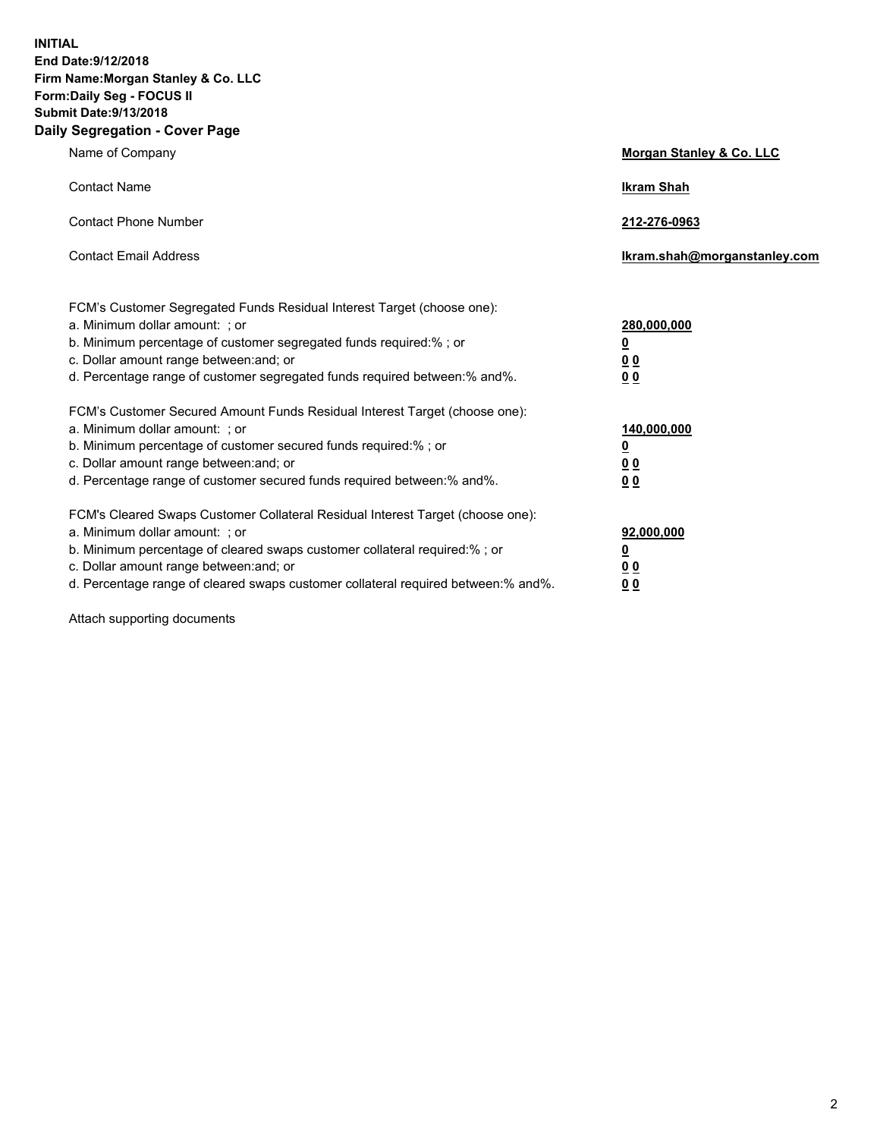**INITIAL End Date:9/12/2018 Firm Name:Morgan Stanley & Co. LLC Form:Daily Seg - FOCUS II Submit Date:9/13/2018 Daily Segregation - Cover Page**

| Name of Company                                                                                                                                                                                                                                                                                                                | Morgan Stanley & Co. LLC                               |
|--------------------------------------------------------------------------------------------------------------------------------------------------------------------------------------------------------------------------------------------------------------------------------------------------------------------------------|--------------------------------------------------------|
| <b>Contact Name</b>                                                                                                                                                                                                                                                                                                            | <b>Ikram Shah</b>                                      |
| <b>Contact Phone Number</b>                                                                                                                                                                                                                                                                                                    | 212-276-0963                                           |
| <b>Contact Email Address</b>                                                                                                                                                                                                                                                                                                   | lkram.shah@morganstanley.com                           |
| FCM's Customer Segregated Funds Residual Interest Target (choose one):<br>a. Minimum dollar amount: ; or<br>b. Minimum percentage of customer segregated funds required:% ; or<br>c. Dollar amount range between: and; or<br>d. Percentage range of customer segregated funds required between:% and%.                         | 280,000,000<br><u>0</u><br><u>0 0</u><br>0 Q           |
| FCM's Customer Secured Amount Funds Residual Interest Target (choose one):<br>a. Minimum dollar amount: ; or<br>b. Minimum percentage of customer secured funds required:%; or<br>c. Dollar amount range between: and; or<br>d. Percentage range of customer secured funds required between:% and%.                            | 140,000,000<br><u>0</u><br><u>00</u><br>0 <sub>0</sub> |
| FCM's Cleared Swaps Customer Collateral Residual Interest Target (choose one):<br>a. Minimum dollar amount: ; or<br>b. Minimum percentage of cleared swaps customer collateral required:% ; or<br>c. Dollar amount range between: and; or<br>d. Percentage range of cleared swaps customer collateral required between:% and%. | 92,000,000<br><u>0</u><br><u>00</u><br>0 <sup>0</sup>  |

Attach supporting documents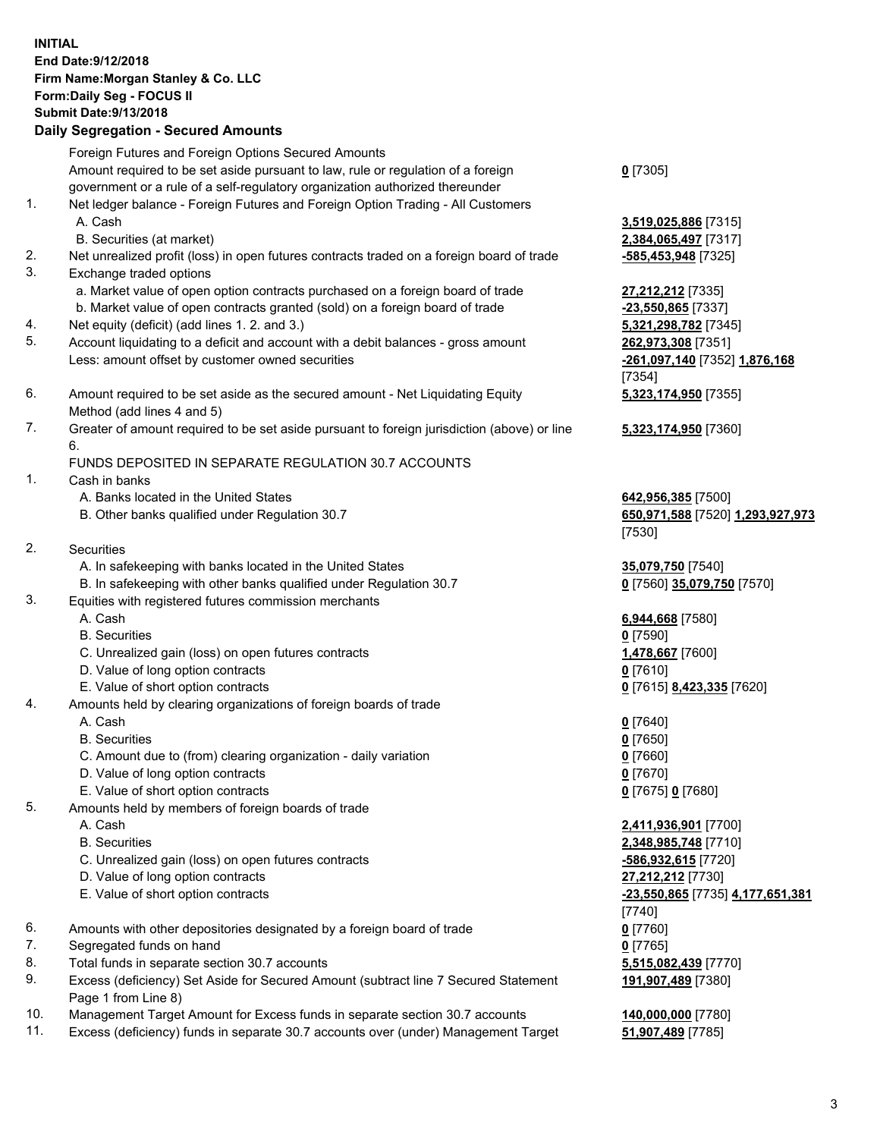## **INITIAL End Date:9/12/2018 Firm Name:Morgan Stanley & Co. LLC Form:Daily Seg - FOCUS II Submit Date:9/13/2018 Daily Segregation - Secured Amounts**

Foreign Futures and Foreign Options Secured Amounts Amount required to be set aside pursuant to law, rule or regulation of a foreign government or a rule of a self-regulatory organization authorized thereunder 1. Net ledger balance - Foreign Futures and Foreign Option Trading - All Customers A. Cash **3,519,025,886** [7315] B. Securities (at market) **2,384,065,497** [7317] 2. Net unrealized profit (loss) in open futures contracts traded on a foreign board of trade **-585,453,948** [7325] 3. Exchange traded options a. Market value of open option contracts purchased on a foreign board of trade **27,212,212** [7335] b. Market value of open contracts granted (sold) on a foreign board of trade **-23,550,865** [7337] 4. Net equity (deficit) (add lines 1. 2. and 3.) **5,321,298,782** [7345] 5. Account liquidating to a deficit and account with a debit balances - gross amount **262,973,308** [7351] Less: amount offset by customer owned securities **-261,097,140** [7352] **1,876,168** 6. Amount required to be set aside as the secured amount - Net Liquidating Equity Method (add lines 4 and 5) 7. Greater of amount required to be set aside pursuant to foreign jurisdiction (above) or line 6. FUNDS DEPOSITED IN SEPARATE REGULATION 30.7 ACCOUNTS 1. Cash in banks A. Banks located in the United States **642,956,385** [7500] B. Other banks qualified under Regulation 30.7 **650,971,588** [7520] **1,293,927,973** 2. Securities A. In safekeeping with banks located in the United States **35,079,750** [7540] B. In safekeeping with other banks qualified under Regulation 30.7 **0** [7560] **35,079,750** [7570]

- 3. Equities with registered futures commission merchants
	-
	- B. Securities **0** [7590]
	- C. Unrealized gain (loss) on open futures contracts **1,478,667** [7600]
	- D. Value of long option contracts **0** [7610]
- E. Value of short option contracts **0** [7615] **8,423,335** [7620]
- 4. Amounts held by clearing organizations of foreign boards of trade
	- A. Cash **0** [7640]
	- B. Securities **0** [7650]
	- C. Amount due to (from) clearing organization daily variation **0** [7660]
	- D. Value of long option contracts **0** [7670]
	- E. Value of short option contracts **0** [7675] **0** [7680]
- 5. Amounts held by members of foreign boards of trade
	-
	-
	- C. Unrealized gain (loss) on open futures contracts **-586,932,615** [7720]
	- D. Value of long option contracts **27,212,212** [7730]
	- E. Value of short option contracts **-23,550,865** [7735] **4,177,651,381**
- 6. Amounts with other depositories designated by a foreign board of trade **0** [7760]
- 7. Segregated funds on hand **0** [7765]
- 8. Total funds in separate section 30.7 accounts **5,515,082,439** [7770]
- 9. Excess (deficiency) Set Aside for Secured Amount (subtract line 7 Secured Statement Page 1 from Line 8)
- 10. Management Target Amount for Excess funds in separate section 30.7 accounts **140,000,000** [7780]
- 11. Excess (deficiency) funds in separate 30.7 accounts over (under) Management Target **51,907,489** [7785]

**0** [7305]

[7354] **5,323,174,950** [7355]

**5,323,174,950** [7360]

[7530]

A. Cash **6,944,668** [7580]

 A. Cash **2,411,936,901** [7700] B. Securities **2,348,985,748** [7710] [7740] **191,907,489** [7380]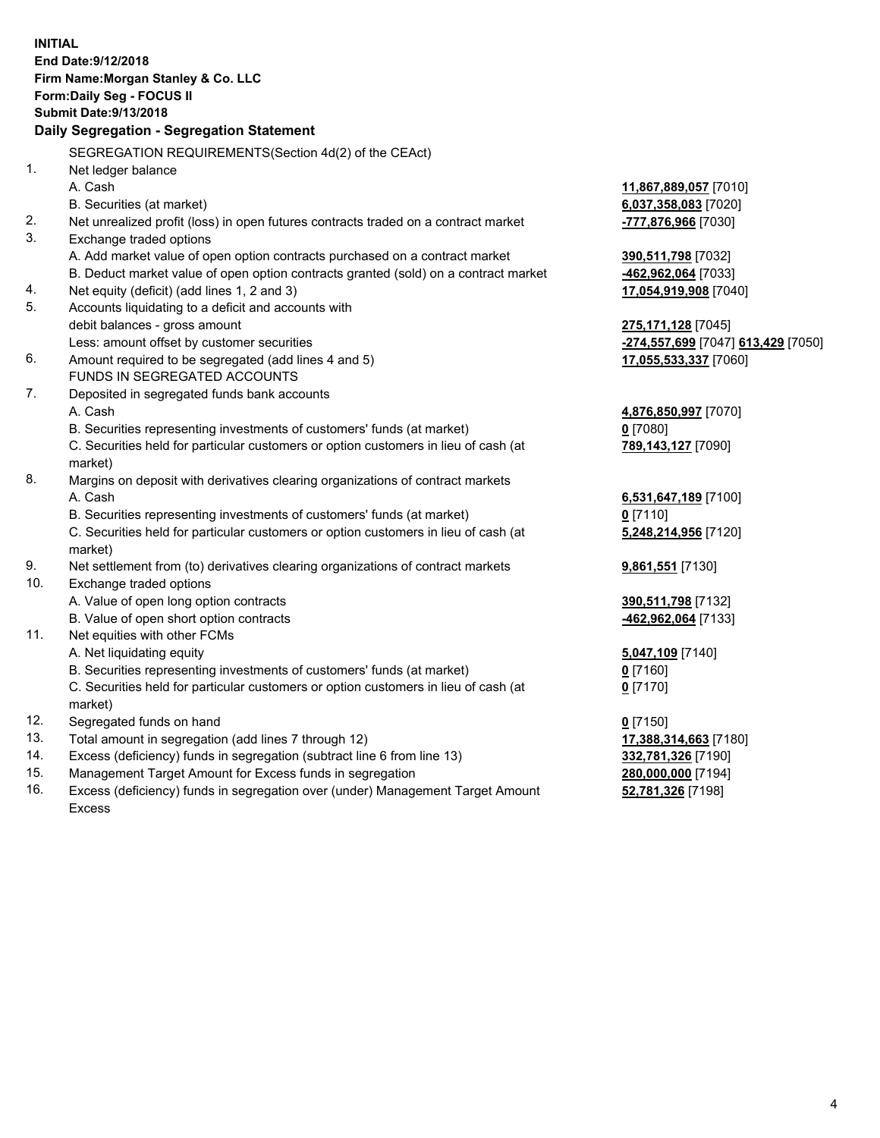**INITIAL End Date:9/12/2018 Firm Name:Morgan Stanley & Co. LLC Form:Daily Seg - FOCUS II Submit Date:9/13/2018 Daily Segregation - Segregation Statement** SEGREGATION REQUIREMENTS(Section 4d(2) of the CEAct) 1. Net ledger balance A. Cash **11,867,889,057** [7010] B. Securities (at market) **6,037,358,083** [7020] 2. Net unrealized profit (loss) in open futures contracts traded on a contract market **-777,876,966** [7030] 3. Exchange traded options A. Add market value of open option contracts purchased on a contract market **390,511,798** [7032] B. Deduct market value of open option contracts granted (sold) on a contract market **-462,962,064** [7033] 4. Net equity (deficit) (add lines 1, 2 and 3) **17,054,919,908** [7040] 5. Accounts liquidating to a deficit and accounts with debit balances - gross amount **275,171,128** [7045] Less: amount offset by customer securities **-274,557,699** [7047] **613,429** [7050] 6. Amount required to be segregated (add lines 4 and 5) **17,055,533,337** [7060] FUNDS IN SEGREGATED ACCOUNTS 7. Deposited in segregated funds bank accounts A. Cash **4,876,850,997** [7070] B. Securities representing investments of customers' funds (at market) **0** [7080] C. Securities held for particular customers or option customers in lieu of cash (at market) **789,143,127** [7090] 8. Margins on deposit with derivatives clearing organizations of contract markets A. Cash **6,531,647,189** [7100] B. Securities representing investments of customers' funds (at market) **0** [7110] C. Securities held for particular customers or option customers in lieu of cash (at market) **5,248,214,956** [7120] 9. Net settlement from (to) derivatives clearing organizations of contract markets **9,861,551** [7130] 10. Exchange traded options A. Value of open long option contracts **390,511,798** [7132] B. Value of open short option contracts **-462,962,064** [7133] 11. Net equities with other FCMs A. Net liquidating equity **5,047,109** [7140] B. Securities representing investments of customers' funds (at market) **0** [7160] C. Securities held for particular customers or option customers in lieu of cash (at market) **0** [7170] 12. Segregated funds on hand **0** [7150] 13. Total amount in segregation (add lines 7 through 12) **17,388,314,663** [7180] 14. Excess (deficiency) funds in segregation (subtract line 6 from line 13) **332,781,326** [7190] 15. Management Target Amount for Excess funds in segregation **280,000,000** [7194] 16. Excess (deficiency) funds in segregation over (under) Management Target Amount **52,781,326** [7198]

Excess